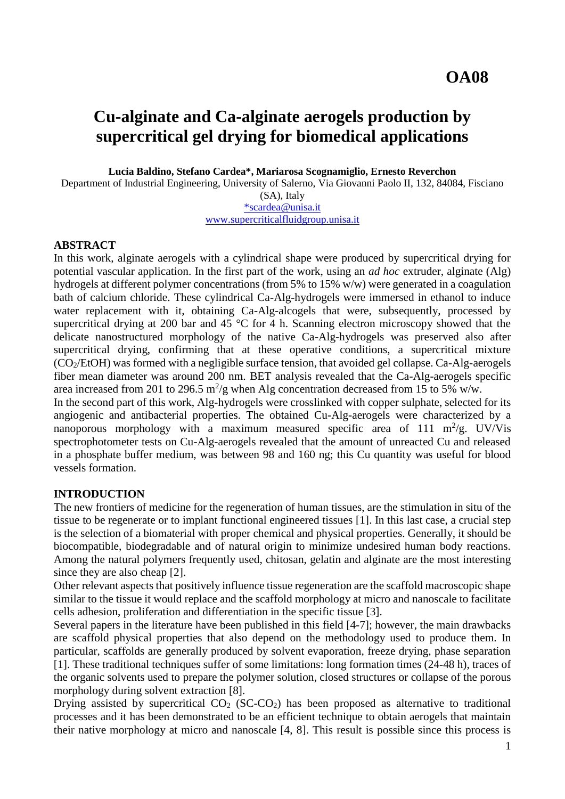# **Cu-alginate and Ca-alginate aerogels production by supercritical gel drying for biomedical applications**

**Lucia Baldino, Stefano Cardea\*, Mariarosa Scognamiglio, Ernesto Reverchon**

Department of Industrial Engineering, University of Salerno, Via Giovanni Paolo II, 132, 84084, Fisciano

(SA), Italy

[\\*scardea@unisa.it](mailto:*scardea@unisa.it) [www.supercriticalfluidgroup.unisa.it](http://www.supercriticalfluidgroup.unisa.it/)

#### **ABSTRACT**

In this work, alginate aerogels with a cylindrical shape were produced by supercritical drying for potential vascular application. In the first part of the work, using an *ad hoc* extruder, alginate (Alg) hydrogels at different polymer concentrations (from 5% to 15% w/w) were generated in a coagulation bath of calcium chloride. These cylindrical Ca-Alg-hydrogels were immersed in ethanol to induce water replacement with it, obtaining Ca-Alg-alcogels that were, subsequently, processed by supercritical drying at 200 bar and 45 °C for 4 h. Scanning electron microscopy showed that the delicate nanostructured morphology of the native Ca-Alg-hydrogels was preserved also after supercritical drying, confirming that at these operative conditions, a supercritical mixture (CO2/EtOH) was formed with a negligible surface tension, that avoided gel collapse. Ca-Alg-aerogels fiber mean diameter was around 200 nm. BET analysis revealed that the Ca-Alg-aerogels specific area increased from 201 to 296.5 m<sup>2</sup>/g when Alg concentration decreased from 15 to 5% w/w.

In the second part of this work, Alg-hydrogels were crosslinked with copper sulphate, selected for its angiogenic and antibacterial properties. The obtained Cu-Alg-aerogels were characterized by a nanoporous morphology with a maximum measured specific area of 111  $\text{m}^2/\text{g}$ . UV/Vis spectrophotometer tests on Cu-Alg-aerogels revealed that the amount of unreacted Cu and released in a phosphate buffer medium, was between 98 and 160 ng; this Cu quantity was useful for blood vessels formation.

## **INTRODUCTION**

The new frontiers of medicine for the regeneration of human tissues, are the stimulation in situ of the tissue to be regenerate or to implant functional engineered tissues [1]. In this last case, a crucial step is the selection of a biomaterial with proper chemical and physical properties. Generally, it should be biocompatible, biodegradable and of natural origin to minimize undesired human body reactions. Among the natural polymers frequently used, chitosan, gelatin and alginate are the most interesting since they are also cheap [2].

Other relevant aspects that positively influence tissue regeneration are the scaffold macroscopic shape similar to the tissue it would replace and the scaffold morphology at micro and nanoscale to facilitate cells adhesion, proliferation and differentiation in the specific tissue [3].

Several papers in the literature have been published in this field [4-7]; however, the main drawbacks are scaffold physical properties that also depend on the methodology used to produce them. In particular, scaffolds are generally produced by solvent evaporation, freeze drying, phase separation [1]. These traditional techniques suffer of some limitations: long formation times (24-48 h), traces of the organic solvents used to prepare the polymer solution, closed structures or collapse of the porous morphology during solvent extraction [8].

Drying assisted by supercritical  $CO<sub>2</sub> (SC-CO<sub>2</sub>)$  has been proposed as alternative to traditional processes and it has been demonstrated to be an efficient technique to obtain aerogels that maintain their native morphology at micro and nanoscale [4, 8]. This result is possible since this process is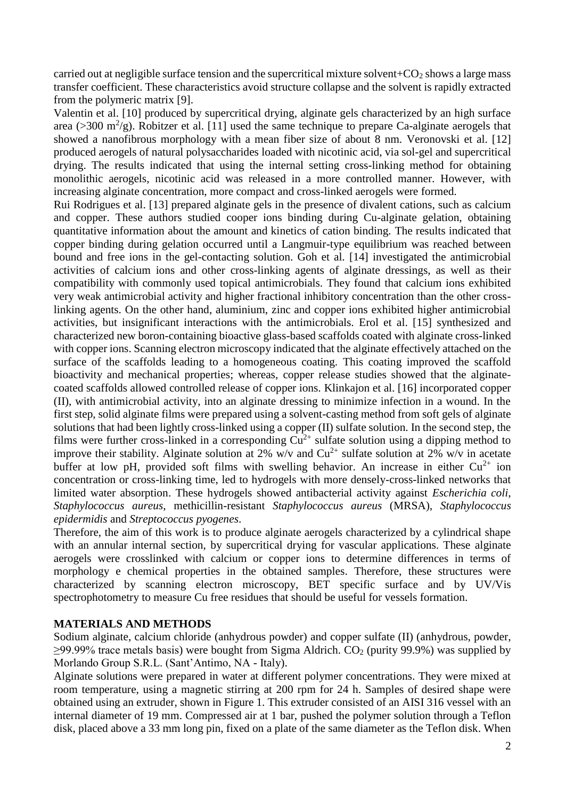carried out at negligible surface tension and the supercritical mixture solvent+ $CO<sub>2</sub>$  shows a large mass transfer coefficient. These characteristics avoid structure collapse and the solvent is rapidly extracted from the polymeric matrix [9].

Valentin et al. [10] produced by supercritical drying, alginate gels characterized by an high surface area ( $>$ 300 m<sup>2</sup>/g). Robitzer et al. [11] used the same technique to prepare Ca-alginate aerogels that showed a nanofibrous morphology with a mean fiber size of about 8 nm. Veronovski et al. [12] produced aerogels of natural polysaccharides loaded with nicotinic acid, via sol-gel and supercritical drying. The results indicated that using the internal setting cross-linking method for obtaining monolithic aerogels, nicotinic acid was released in a more controlled manner. However, with increasing alginate concentration, more compact and cross-linked aerogels were formed.

Rui Rodrigues et al. [13] prepared alginate gels in the presence of divalent cations, such as calcium and copper. These authors studied cooper ions binding during Cu-alginate gelation, obtaining quantitative information about the amount and kinetics of cation binding. The results indicated that copper binding during gelation occurred until a Langmuir-type equilibrium was reached between bound and free ions in the gel-contacting solution. Goh et al. [14] investigated the antimicrobial activities of calcium ions and other cross-linking agents of alginate dressings, as well as their compatibility with commonly used topical antimicrobials. They found that calcium ions exhibited very weak antimicrobial activity and higher fractional inhibitory concentration than the other crosslinking agents. On the other hand, aluminium, zinc and copper ions exhibited higher antimicrobial activities, but insignificant interactions with the antimicrobials. Erol et al. [15] synthesized and characterized new boron-containing bioactive glass-based scaffolds coated with alginate cross-linked with copper ions. Scanning electron microscopy indicated that the alginate effectively attached on the surface of the scaffolds leading to a homogeneous coating. This coating improved the scaffold bioactivity and mechanical properties; whereas, copper release studies showed that the alginatecoated scaffolds allowed controlled release of copper ions. Klinkajon et al. [16] incorporated copper (II), with antimicrobial activity, into an alginate dressing to minimize infection in a wound. In the first step, solid alginate films were prepared using a solvent-casting method from soft gels of alginate solutions that had been lightly cross-linked using a copper (II) sulfate solution. In the second step, the films were further cross-linked in a corresponding  $Cu^{2+}$  sulfate solution using a dipping method to improve their stability. Alginate solution at 2% w/v and  $Cu^{2+}$  sulfate solution at 2% w/v in acetate buffer at low pH, provided soft films with swelling behavior. An increase in either  $Cu^{2+}$  ion concentration or cross-linking time, led to hydrogels with more densely-cross-linked networks that limited water absorption. These hydrogels showed antibacterial activity against *Escherichia coli*, *Staphylococcus aureus*, methicillin-resistant *Staphylococcus aureus* (MRSA), *Staphylococcus epidermidis* and *Streptococcus pyogenes*.

Therefore, the aim of this work is to produce alginate aerogels characterized by a cylindrical shape with an annular internal section, by supercritical drying for vascular applications. These alginate aerogels were crosslinked with calcium or copper ions to determine differences in terms of morphology e chemical properties in the obtained samples. Therefore, these structures were characterized by scanning electron microscopy, BET specific surface and by UV/Vis spectrophotometry to measure Cu free residues that should be useful for vessels formation.

#### **MATERIALS AND METHODS**

Sodium alginate, calcium chloride (anhydrous powder) and copper sulfate (II) (anhydrous, powder,  $>99.99\%$  trace metals basis) were bought from Sigma Aldrich. CO<sub>2</sub> (purity 99.9%) was supplied by Morlando Group S.R.L. (Sant'Antimo, NA - Italy).

Alginate solutions were prepared in water at different polymer concentrations. They were mixed at room temperature, using a magnetic stirring at 200 rpm for 24 h. Samples of desired shape were obtained using an extruder, shown in Figure 1. This extruder consisted of an AISI 316 vessel with an internal diameter of 19 mm. Compressed air at 1 bar, pushed the polymer solution through a Teflon disk, placed above a 33 mm long pin, fixed on a plate of the same diameter as the Teflon disk. When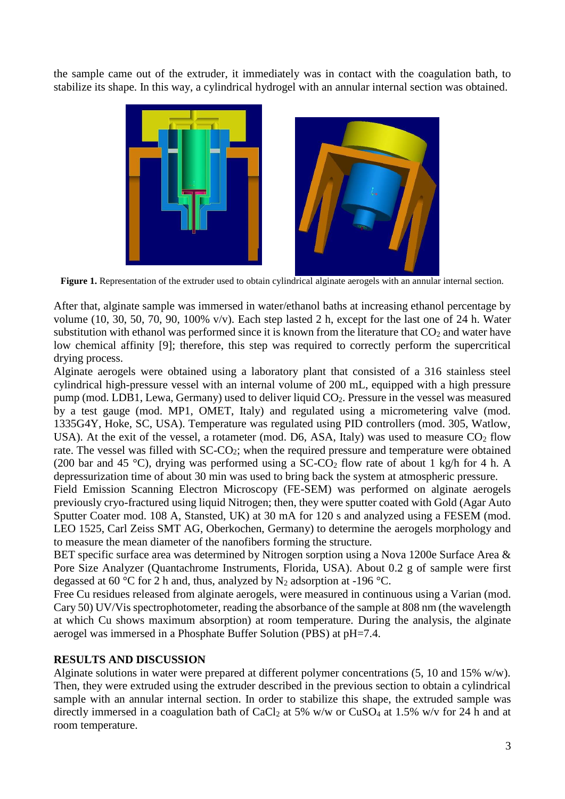the sample came out of the extruder, it immediately was in contact with the coagulation bath, to stabilize its shape. In this way, a cylindrical hydrogel with an annular internal section was obtained.





**Figure 1.** Representation of the extruder used to obtain cylindrical alginate aerogels with an annular internal section.

After that, alginate sample was immersed in water/ethanol baths at increasing ethanol percentage by volume (10, 30, 50, 70, 90, 100% v/v). Each step lasted 2 h, except for the last one of 24 h. Water substitution with ethanol was performed since it is known from the literature that  $CO<sub>2</sub>$  and water have low chemical affinity [9]; therefore, this step was required to correctly perform the supercritical drying process.

Alginate aerogels were obtained using a laboratory plant that consisted of a 316 stainless steel cylindrical high-pressure vessel with an internal volume of 200 mL, equipped with a high pressure pump (mod. LDB1, Lewa, Germany) used to deliver liquid CO2. Pressure in the vessel was measured by a test gauge (mod. MP1, OMET, Italy) and regulated using a micrometering valve (mod. 1335G4Y, Hoke, SC, USA). Temperature was regulated using PID controllers (mod. 305, Watlow, USA). At the exit of the vessel, a rotameter (mod. D6, ASA, Italy) was used to measure  $CO<sub>2</sub>$  flow rate. The vessel was filled with SC-CO<sub>2</sub>; when the required pressure and temperature were obtained (200 bar and 45 °C), drying was performed using a SC-CO<sub>2</sub> flow rate of about 1 kg/h for 4 h. A depressurization time of about 30 min was used to bring back the system at atmospheric pressure.

Field Emission Scanning Electron Microscopy (FE-SEM) was performed on alginate aerogels previously cryo-fractured using liquid Nitrogen; then, they were sputter coated with Gold (Agar Auto Sputter Coater mod. 108 A, Stansted, UK) at 30 mA for 120 s and analyzed using a FESEM (mod. LEO 1525, Carl Zeiss SMT AG, Oberkochen, Germany) to determine the aerogels morphology and to measure the mean diameter of the nanofibers forming the structure.

BET specific surface area was determined by Nitrogen sorption using a Nova 1200e Surface Area & Pore Size Analyzer (Quantachrome Instruments, Florida, USA). About 0.2 g of sample were first degassed at 60 °C for 2 h and, thus, analyzed by  $N_2$  adsorption at -196 °C.

Free Cu residues released from alginate aerogels, were measured in continuous using a Varian (mod. Cary 50) UV/Vis spectrophotometer, reading the absorbance of the sample at 808 nm (the wavelength at which Cu shows maximum absorption) at room temperature. During the analysis, the alginate aerogel was immersed in a Phosphate Buffer Solution (PBS) at pH=7.4.

## **RESULTS AND DISCUSSION**

Alginate solutions in water were prepared at different polymer concentrations (5, 10 and 15% w/w). Then, they were extruded using the extruder described in the previous section to obtain a cylindrical sample with an annular internal section. In order to stabilize this shape, the extruded sample was directly immersed in a coagulation bath of CaCl<sub>2</sub> at 5% w/w or CuSO<sub>4</sub> at 1.5% w/v for 24 h and at room temperature.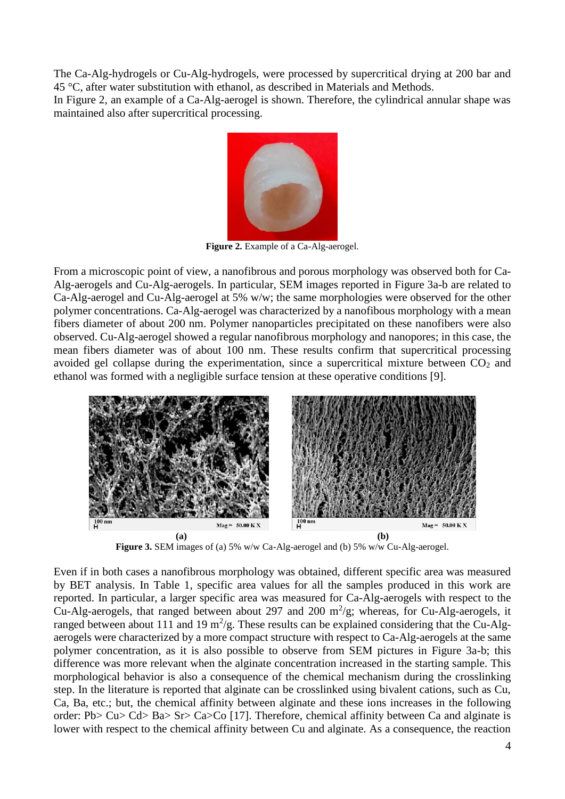The Ca-Alg-hydrogels or Cu-Alg-hydrogels, were processed by supercritical drying at 200 bar and 45 °C, after water substitution with ethanol, as described in Materials and Methods.

In Figure 2, an example of a Ca-Alg-aerogel is shown. Therefore, the cylindrical annular shape was maintained also after supercritical processing.



**Figure 2.** Example of a Ca-Alg-aerogel.

From a microscopic point of view, a nanofibrous and porous morphology was observed both for Ca-Alg-aerogels and Cu-Alg-aerogels. In particular, SEM images reported in Figure 3a-b are related to Ca-Alg-aerogel and Cu-Alg-aerogel at 5% w/w; the same morphologies were observed for the other polymer concentrations. Ca-Alg-aerogel was characterized by a nanofibous morphology with a mean fibers diameter of about 200 nm. Polymer nanoparticles precipitated on these nanofibers were also observed. Cu-Alg-aerogel showed a regular nanofibrous morphology and nanopores; in this case, the mean fibers diameter was of about 100 nm. These results confirm that supercritical processing avoided gel collapse during the experimentation, since a supercritical mixture between  $CO<sub>2</sub>$  and ethanol was formed with a negligible surface tension at these operative conditions [9].



**Figure 3.** SEM images of (a) 5% w/w Ca-Alg-aerogel and (b) 5% w/w Cu-Alg-aerogel.

Even if in both cases a nanofibrous morphology was obtained, different specific area was measured by BET analysis. In Table 1, specific area values for all the samples produced in this work are reported. In particular, a larger specific area was measured for Ca-Alg-aerogels with respect to the Cu-Alg-aerogels, that ranged between about 297 and 200  $m^2/g$ ; whereas, for Cu-Alg-aerogels, it ranged between about 111 and 19  $m^2/g$ . These results can be explained considering that the Cu-Algaerogels were characterized by a more compact structure with respect to Ca-Alg-aerogels at the same polymer concentration, as it is also possible to observe from SEM pictures in Figure 3a-b; this difference was more relevant when the alginate concentration increased in the starting sample. This morphological behavior is also a consequence of the chemical mechanism during the crosslinking step. In the literature is reported that alginate can be crosslinked using bivalent cations, such as Cu, Ca, Ba, etc.; but, the chemical affinity between alginate and these ions increases in the following order: Pb> Cu> Cd> Ba> Sr> Ca>Co [17]. Therefore, chemical affinity between Ca and alginate is lower with respect to the chemical affinity between Cu and alginate. As a consequence, the reaction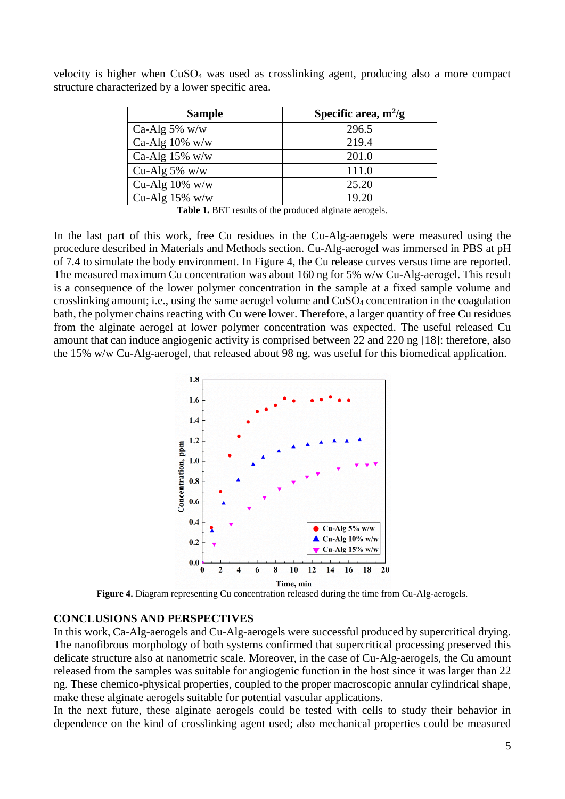| <b>Sample</b>     | Specific area, $m^2/g$ |
|-------------------|------------------------|
| Ca-Alg $5\%$ w/w  | 296.5                  |
| Ca-Alg $10\%$ w/w | 219.4                  |
| Ca-Alg $15\%$ w/w | 201.0                  |
| Cu-Alg $5\%$ w/w  | 111.0                  |
| Cu-Alg $10\%$ w/w | 25.20                  |
| Cu-Alg $15\%$ w/w | 19.20                  |

velocity is higher when CuSO<sup>4</sup> was used as crosslinking agent, producing also a more compact structure characterized by a lower specific area.

**Table 1.** BET results of the produced alginate aerogels.

In the last part of this work, free Cu residues in the Cu-Alg-aerogels were measured using the procedure described in Materials and Methods section. Cu-Alg-aerogel was immersed in PBS at pH of 7.4 to simulate the body environment. In Figure 4, the Cu release curves versus time are reported. The measured maximum Cu concentration was about 160 ng for 5% w/w Cu-Alg-aerogel. This result is a consequence of the lower polymer concentration in the sample at a fixed sample volume and crosslinking amount; i.e., using the same aerogel volume and CuSO<sup>4</sup> concentration in the coagulation bath, the polymer chains reacting with Cu were lower. Therefore, a larger quantity of free Cu residues from the alginate aerogel at lower polymer concentration was expected. The useful released Cu amount that can induce angiogenic activity is comprised between 22 and 220 ng [18]: therefore, also the 15% w/w Cu-Alg-aerogel, that released about 98 ng, was useful for this biomedical application.



**Figure 4.** Diagram representing Cu concentration released during the time from Cu-Alg-aerogels.

#### **CONCLUSIONS AND PERSPECTIVES**

In this work, Ca-Alg-aerogels and Cu-Alg-aerogels were successful produced by supercritical drying. The nanofibrous morphology of both systems confirmed that supercritical processing preserved this delicate structure also at nanometric scale. Moreover, in the case of Cu-Alg-aerogels, the Cu amount released from the samples was suitable for angiogenic function in the host since it was larger than 22 ng. These chemico-physical properties, coupled to the proper macroscopic annular cylindrical shape, make these alginate aerogels suitable for potential vascular applications.

In the next future, these alginate aerogels could be tested with cells to study their behavior in dependence on the kind of crosslinking agent used; also mechanical properties could be measured